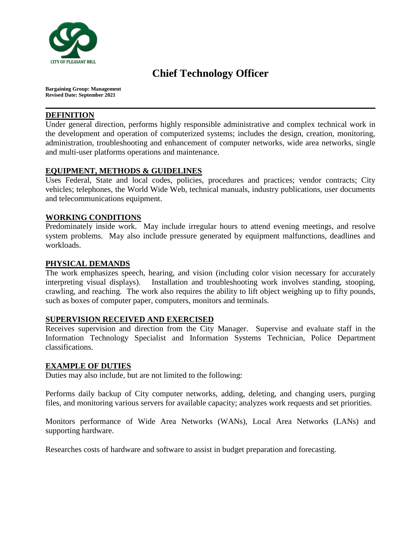

# **Chief Technology Officer**

**Bargaining Group: Management Revised Date: September 2021**

#### **DEFINITION**

Under general direction, performs highly responsible administrative and complex technical work in the development and operation of computerized systems; includes the design, creation, monitoring, administration, troubleshooting and enhancement of computer networks, wide area networks, single and multi-user platforms operations and maintenance.

# **EQUIPMENT, METHODS & GUIDELINES**

Uses Federal, State and local codes, policies, procedures and practices; vendor contracts; City vehicles; telephones, the World Wide Web, technical manuals, industry publications, user documents and telecommunications equipment.

### **WORKING CONDITIONS**

Predominately inside work. May include irregular hours to attend evening meetings, and resolve system problems. May also include pressure generated by equipment malfunctions, deadlines and workloads.

## **PHYSICAL DEMANDS**

The work emphasizes speech, hearing, and vision (including color vision necessary for accurately interpreting visual displays). Installation and troubleshooting work involves standing, stooping, crawling, and reaching. The work also requires the ability to lift object weighing up to fifty pounds, such as boxes of computer paper, computers, monitors and terminals.

#### **SUPERVISION RECEIVED AND EXERCISED**

Receives supervision and direction from the City Manager. Supervise and evaluate staff in the Information Technology Specialist and Information Systems Technician, Police Department classifications.

#### **EXAMPLE OF DUTIES**

Duties may also include, but are not limited to the following:

Performs daily backup of City computer networks, adding, deleting, and changing users, purging files, and monitoring various servers for available capacity; analyzes work requests and set priorities.

Monitors performance of Wide Area Networks (WANs), Local Area Networks (LANs) and supporting hardware.

Researches costs of hardware and software to assist in budget preparation and forecasting.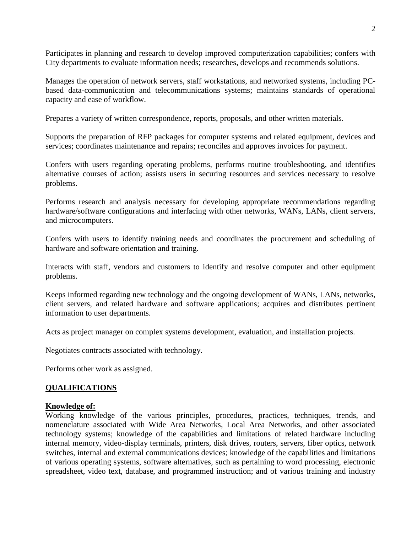Participates in planning and research to develop improved computerization capabilities; confers with City departments to evaluate information needs; researches, develops and recommends solutions.

Manages the operation of network servers, staff workstations, and networked systems, including PCbased data-communication and telecommunications systems; maintains standards of operational capacity and ease of workflow.

Prepares a variety of written correspondence, reports, proposals, and other written materials.

Supports the preparation of RFP packages for computer systems and related equipment, devices and services; coordinates maintenance and repairs; reconciles and approves invoices for payment.

Confers with users regarding operating problems, performs routine troubleshooting, and identifies alternative courses of action; assists users in securing resources and services necessary to resolve problems.

Performs research and analysis necessary for developing appropriate recommendations regarding hardware/software configurations and interfacing with other networks, WANs, LANs, client servers, and microcomputers.

Confers with users to identify training needs and coordinates the procurement and scheduling of hardware and software orientation and training.

Interacts with staff, vendors and customers to identify and resolve computer and other equipment problems.

Keeps informed regarding new technology and the ongoing development of WANs, LANs, networks, client servers, and related hardware and software applications; acquires and distributes pertinent information to user departments.

Acts as project manager on complex systems development, evaluation, and installation projects.

Negotiates contracts associated with technology.

Performs other work as assigned.

#### **QUALIFICATIONS**

#### **Knowledge of:**

Working knowledge of the various principles, procedures, practices, techniques, trends, and nomenclature associated with Wide Area Networks, Local Area Networks, and other associated technology systems; knowledge of the capabilities and limitations of related hardware including internal memory, video-display terminals, printers, disk drives, routers, servers, fiber optics, network switches, internal and external communications devices; knowledge of the capabilities and limitations of various operating systems, software alternatives, such as pertaining to word processing, electronic spreadsheet, video text, database, and programmed instruction; and of various training and industry